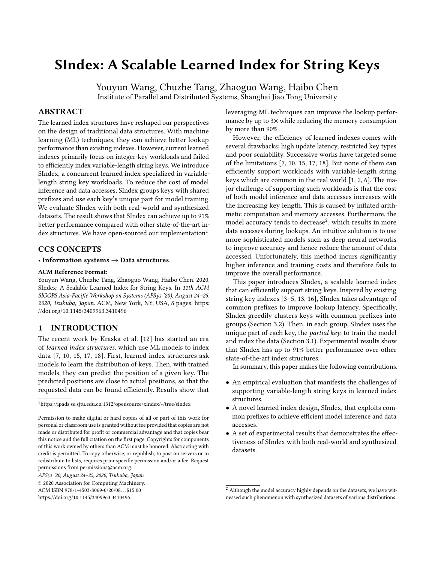# SIndex: A Scalable Learned Index for String Keys

Youyun Wang, Chuzhe Tang, Zhaoguo Wang, Haibo Chen Institute of Parallel and Distributed Systems, Shanghai Jiao Tong University

# ABSTRACT

The learned index structures have reshaped our perspectives on the design of traditional data structures. With machine learning (ML) techniques, they can achieve better lookup performance than existing indexes. However, current learned indexes primarily focus on integer-key workloads and failed to efficiently index variable-length string keys. We introduce SIndex, a concurrent learned index specialized in variablelength string key workloads. To reduce the cost of model inference and data accesses, SIndex groups keys with shared prefixes and use each key's unique part for model training. We evaluate SIndex with both real-world and synthesized datasets. The result shows that SIndex can achieve up to 91% better performance compared with other state-of-the-art index structures. We have open-sourced our implementation $^1$  $^1$ .

# CCS CONCEPTS

#### • Information systems  $\rightarrow$  Data structures.

#### ACM Reference Format:

Youyun Wang, Chuzhe Tang, Zhaoguo Wang, Haibo Chen. 2020. SIndex: A Scalable Learned Index for String Keys. In 11th ACM SIGOPS Asia-Pacific Workshop on Systems (APSys '20), August 24–25, 2020, Tsukuba, Japan. ACM, New York, NY, USA, [8](#page-7-0) pages. [https:](https://doi.org/10.1145/3409963.3410496) [//doi.org/10.1145/3409963.3410496](https://doi.org/10.1145/3409963.3410496)

## 1 INTRODUCTION

The recent work by Kraska et al. [\[12\]](#page-7-1) has started an era of learned index structures, which use ML models to index data [\[7,](#page-7-2) [10,](#page-7-3) [15,](#page-7-4) [17,](#page-7-5) [18\]](#page-7-6). First, learned index structures ask models to learn the distribution of keys. Then, with trained models, they can predict the position of a given key. The predicted positions are close to actual positions, so that the requested data can be found efficiently. Results show that

<span id="page-0-0"></span> $^1$ <https://ipads.se.sjtu.edu.cn:1312/opensource/xindex/-/tree/sindex>

leveraging ML techniques can improve the lookup performance by up to 3× while reducing the memory consumption by more than 90%.

However, the efficiency of learned indexes comes with several drawbacks: high update latency, restricted key types and poor scalability. Successive works have targeted some of the limitations [\[7,](#page-7-2) [10,](#page-7-3) [15,](#page-7-4) [17,](#page-7-5) [18\]](#page-7-6). But none of them can efficiently support workloads with variable-length string keys which are common in the real world [\[1,](#page-6-0) [2,](#page-6-1) [6\]](#page-7-7). The major challenge of supporting such workloads is that the cost of both model inference and data accesses increases with the increasing key length. This is caused by inflated arithmetic computation and memory accesses. Furthermore, the model accuracy tends to decrease $^2$  $^2$ , which results in more data accesses during lookups. An intuitive solution is to use more sophisticated models such as deep neural networks to improve accuracy and hence reduce the amount of data accessed. Unfortunately, this method incurs significantly higher inference and training costs and therefore fails to improve the overall performance.

This paper introduces SIndex, a scalable learned index that can efficiently support string keys. Inspired by existing string key indexes [\[3–](#page-6-2)[5,](#page-7-8) [13,](#page-7-9) [16\]](#page-7-10), SIndex takes advantage of common prefixes to improve lookup latency. Specifically, SIndex greedily clusters keys with common prefixes into groups (Section [3.2\)](#page-3-0). Then, in each group, SIndex uses the unique part of each key, the partial key, to train the model and index the data (Section [3.1\)](#page-2-0). Experimental results show that SIndex has up to 91% better performance over other state-of-the-art index structures.

In summary, this paper makes the following contributions.

- An empirical evaluation that manifests the challenges of supporting variable-length string keys in learned index structures.
- A novel learned index design, SIndex, that exploits common prefixes to achieve efficient model inference and data accesses.
- A set of experimental results that demonstrates the effectiveness of SIndex with both real-world and synthesized datasets.

Permission to make digital or hard copies of all or part of this work for personal or classroom use is granted without fee provided that copies are not made or distributed for profit or commercial advantage and that copies bear this notice and the full citation on the first page. Copyrights for components of this work owned by others than ACM must be honored. Abstracting with credit is permitted. To copy otherwise, or republish, to post on servers or to redistribute to lists, requires prior specific permission and/or a fee. Request permissions from permissions@acm.org.

APSys '20, August 24–25, 2020, Tsukuba, Japan © 2020 Association for Computing Machinery. ACM ISBN 978-1-4503-8069-0/20/08. . . \$15.00

<https://doi.org/10.1145/3409963.3410496>

<span id="page-0-1"></span> $^{\rm 2}$  Although the model accuracy highly depends on the datasets, we have witnessed such phenomenon with synthesized datasets of various distributions.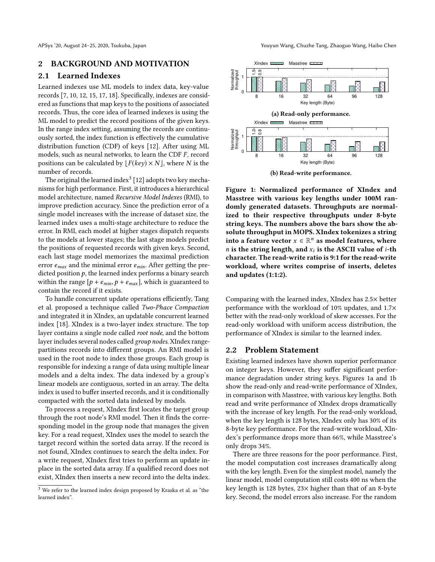APSys '20, August 24–25, 2020, Tsukuba, Japan Youyun Wang, Chuzhe Tang, Zhaoguo Wang, Haibo Chen

#### 2 BACKGROUND AND MOTIVATION

### 2.1 Learned Indexes

Learned indexes use ML models to index data, key-value records [\[7,](#page-7-2) [10,](#page-7-3) [12,](#page-7-1) [15,](#page-7-4) [17,](#page-7-5) [18\]](#page-7-6). Specifically, indexes are considered as functions that map keys to the positions of associated records. Thus, the core idea of learned indexes is using the ML model to predict the record positions of the given keys. In the range index setting, assuming the records are continuously sorted, the index function is effectively the cumulative distribution function (CDF) of keys [\[12\]](#page-7-1). After using ML models, such as neural networks, to learn the CDF  $F$ , record positions can be calculated by  $|F(key) \times N|$ , where N is the number of records.

The original the learned index<sup>[3](#page-1-0)</sup> [\[12\]](#page-7-1) adopts two key mechanisms for high performance. First, it introduces a hierarchical model architecture, named Recursive Model Indexes (RMI), to improve prediction accuracy. Since the prediction error of a single model increases with the increase of dataset size, the learned index uses a multi-stage architecture to reduce the error. In RMI, each model at higher stages dispatch requests to the models at lower stages; the last stage models predict the positions of requested records with given keys. Second, each last stage model memorizes the maximal prediction error  $e_{max}$  and the minimal error  $e_{min}$ . After getting the predicted position  $p$ , the learned index performs a binary search within the range  $[p + e_{min}, p + e_{max}]$ , which is guaranteed to contain the record if it exists.

To handle concurrent update operations efficiently, Tang et al. proposed a technique called Two-Phace Compaction and integrated it in XIndex, an updatable concurrent learned index [\[18\]](#page-7-6). XIndex is a two-layer index structure. The top layer contains a single node called root node, and the bottom layer includes several nodes called group nodes. XIndex rangepartitions records into different groups. An RMI model is used in the root node to index those groups. Each group is responsible for indexing a range of data using multiple linear models and a delta index. The data indexed by a group's linear models are contiguous, sorted in an array. The delta index is used to buffer inserted records, and it is conditionally compacted with the sorted data indexed by models.

To process a request, XIndex first locates the target group through the root node's RMI model. Then it finds the corresponding model in the group node that manages the given key. For a read request, XIndex uses the model to search the target record within the sorted data array. If the record is not found, XIndex continues to search the delta index. For a write request, XIndex first tries to perform an update inplace in the sorted data array. If a qualified record does not exist, XIndex then inserts a new record into the delta index.

<span id="page-1-1"></span>

(b) Read-write performance.

Figure 1: Normalized performance of XIndex and Masstree with various key lengths under 100M randomly generated datasets. Throughputs are normalized to their respective throughputs under 8-byte string keys. The numbers above the bars show the absolute throughput in MOPS. XIndex tokenizes a string into a feature vector  $x \in \mathbb{R}^n$  as model features, where <br>is the string length, and x, is the ASCII value of i-the *n* is the string length, and  $x_i$  is the ASCII value of *i*-th character. The read-write ratio is 9:1 for the read-write workload, where writes comprise of inserts, deletes and updates (1:1:2).

Comparing with the learned index, XIndex has 2.5× better performance with the workload of 10% updates, and 1.7× better with the read-only workload of skew accesses. For the read-only workload with uniform access distribution, the performance of XIndex is similar to the learned index.

### 2.2 Problem Statement

Existing learned indexes have shown superior performance on integer keys. However, they suffer significant performance degradation under string keys. Figures [1a](#page-1-1) and [1b](#page-1-1) show the read-only and read-write performance of XIndex, in comparison with Masstree, with various key lengths. Both read and write performance of XIndex drops dramatically with the increase of key length. For the read-only workload, when the key length is 128 bytes, XIndex only has 30% of its 8-byte key performance. For the read-write workload, XIndex's performance drops more than 66%, while Masstree's only drops 34%.

There are three reasons for the poor performance. First, the model computation cost increases dramatically along with the key length. Even for the simplest model, namely the linear model, model computation still costs 400 ns when the key length is 128 bytes, 23× higher than that of an 8-byte key. Second, the model errors also increase. For the random

<span id="page-1-0"></span> $^3$  We refer to the learned index design proposed by Kraska et al. as "the  $\,$ learned index".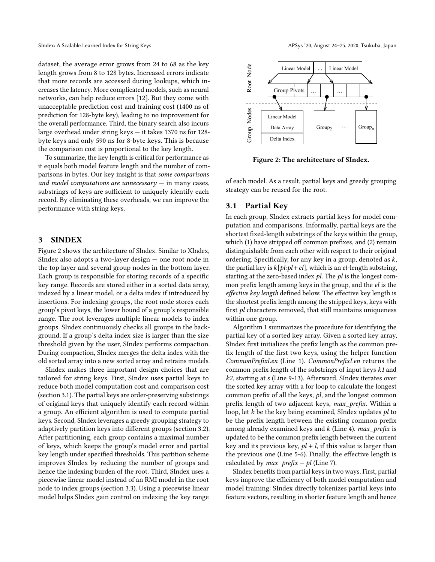dataset, the average error grows from 24 to 68 as the key length grows from 8 to 128 bytes. Increased errors indicate that more records are accessed during lookups, which increases the latency. More complicated models, such as neural networks, can help reduce errors [\[12\]](#page-7-1). But they come with unacceptable prediction cost and training cost (1400 ns of prediction for 128-byte key), leading to no improvement for the overall performance. Third, the binary search also incurs large overhead under string keys — it takes 1370 ns for 128 byte keys and only 590 ns for 8-byte keys. This is because the comparison cost is proportional to the key length.

To summarize, the key length is critical for performance as it equals both model feature length and the number of comparisons in bytes. Our key insight is that some comparisons and model computations are unnecessary  $-$  in many cases, substrings of keys are sufficient to uniquely identify each record. By eliminating these overheads, we can improve the performance with string keys.

#### 3 SINDEX

Figure [2](#page-2-1) shows the architecture of SIndex. Similar to XIndex, SIndex also adopts a two-layer design — one root node in the top layer and several group nodes in the bottom layer. Each group is responsible for storing records of a specific key range. Records are stored either in a sorted data array, indexed by a linear model, or a delta index if introduced by insertions. For indexing groups, the root node stores each group's pivot keys, the lower bound of a group's responsible range. The root leverages multiple linear models to index groups. SIndex continuously checks all groups in the background. If a group's delta index size is larger than the size threshold given by the user, SIndex performs compaction. During compaction, SIndex merges the delta index with the old sorted array into a new sorted array and retrains models.

SIndex makes three important design choices that are tailored for string keys. First, SIndex uses partial keys to reduce both model computation cost and comparison cost (section [3.1\)](#page-2-0). The partial keys are order-preserving substrings of original keys that uniquely identify each record within a group. An efficient algorithm is used to compute partial keys. Second, SIndex leverages a greedy grouping strategy to adaptively partition keys into different groups (section [3.2\)](#page-3-0). After partitioning, each group contains a maximal number of keys, which keeps the group's model error and partial key length under specified thresholds. This partition scheme improves SIndex by reducing the number of groups and hence the indexing burden of the root. Third, SIndex uses a piecewise linear model instead of an RMI model in the root node to index groups (section [3.3\)](#page-3-1). Using a piecewise linear model helps SIndex gain control on indexing the key range

<span id="page-2-1"></span>

Figure 2: The architecture of SIndex.

of each model. As a result, partial keys and greedy grouping strategy can be reused for the root.

#### <span id="page-2-0"></span>3.1 Partial Key

In each group, SIndex extracts partial keys for model computation and comparisons. Informally, partial keys are the shortest fixed-length substrings of the keys within the group, which (1) have stripped off common prefixes, and (2) remain distinguishable from each other with respect to their original ordering. Specifically, for any key in a group, denoted as  $k$ , the partial key is  $k[pl:pl+el]$ , which is an el-length substring, starting at the zero-based index  $pl$ . The  $pl$  is the longest common prefix length among keys in the group, and the el is the effective key length defined below. The effective key length is the shortest prefix length among the stripped keys, keys with first  $pl$  characters removed, that still maintains uniqueness within one group.

Algorithm [1](#page-3-2) summarizes the procedure for identifying the partial key of a sorted key array. Given a sorted key array, SIndex first initializes the prefix length as the common prefix length of the first two keys, using the helper function CommonPrefixLen (Line [1\)](#page-3-3). CommonPrefixLen returns the common prefix length of the substrings of input keys k1 and k2, starting at s (Line [9-](#page-3-4)[13\)](#page-3-5). Afterward, SIndex iterates over the sorted key array with a for loop to calculate the longest common prefix of all the keys, pl, and the longest common prefix length of two adjacent keys, max\_prefix. Within a loop, let  $k$  be the key being examined, SIndex updates  $pl$  to be the prefix length between the existing common prefix among already examined keys and  $k$  (Line [4\)](#page-3-6). max\_prefix is updated to be the common prefix length between the current key and its previous key,  $pl + l$ , if this value is larger than the previous one (Line [5-](#page-3-7)[6\)](#page-3-8). Finally, the effective length is calculated by  $max\_prefix - pl$  (Line [7\)](#page-3-9).

SIndex benefits from partial keys in two ways. First, partial keys improve the efficiency of both model computation and model training: SIndex directly tokenizes partial keys into feature vectors, resulting in shorter feature length and hence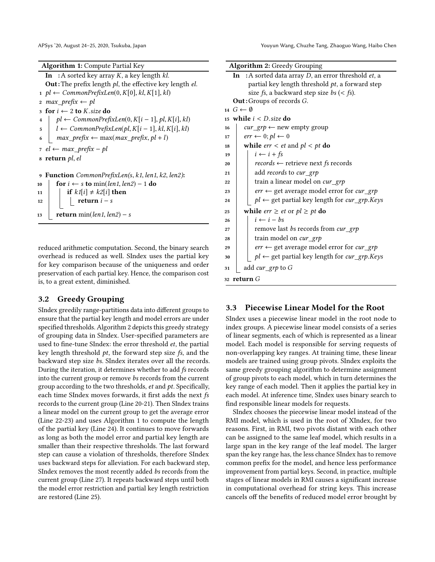Algorithm 1: Compute Partial Key

<span id="page-3-9"></span><span id="page-3-8"></span><span id="page-3-7"></span><span id="page-3-6"></span><span id="page-3-3"></span><span id="page-3-2"></span>In : A sorted key array  $K$ , a key length  $kl$ . **Out**: The prefix length  $pl$ , the effective key length  $el$ .  $1 \text{ pl} \leftarrow \text{CommonPrefixLen}(0, K[0], kl, K[1], kl)$ 2  $max\_prefix \leftarrow pl$ 3 for  $i \leftarrow 2$  to *K*.size do<br>4 | *pl* ← CommonPrefi 4  $p$ *l* ← CommonPrefixLen(0, K[i – 1], pl, K[i], kl)<br>5  $l$  ← CommonPrefixLen(pl, K[i – 1], kl, K[i], kl) 5  $l \leftarrow CommonPrefixLen(pl, K[i-1], kl, K[i], kl)$ <br>
6  $max\ prefix \leftarrow max(max\ prefix, pl + l)$  $max\_prefix \leftarrow max(max\_prefix, pl + l)$  $7$  el ← max\_prefix – pl <sup>8</sup> return pl, el 9 Function CommonPrefixLen(s, k1, len1, k2, len2):<br>10  $\qquad \qquad$  for  $i \leftarrow s$  to min(len1, len2) – 1 do 10 for  $i \leftarrow s$  to min(len1, len2) – 1 do<br>
11 if  $kI[i] \neq k2[i]$  then 11 if  $k1[i] \neq k2[i]$  then<br>
12 if the return  $i - s$ return  $i - s$ 13  $\vert$  return min(len1, len2) – s

<span id="page-3-5"></span><span id="page-3-4"></span>reduced arithmetic computation. Second, the binary search overhead is reduced as well. SIndex uses the partial key for key comparison because of the uniqueness and order preservation of each partial key. Hence, the comparison cost is, to a great extent, diminished.

#### <span id="page-3-0"></span>3.2 Greedy Grouping

SIndex greedily range-partitions data into different groups to ensure that the partial key length and model errors are under specified thresholds. Algorithm [2](#page-3-10) depicts this greedy strategy of grouping data in SIndex. User-specified parameters are used to fine-tune SIndex: the error threshold et, the partial key length threshold  $pt$ , the forward step size  $fs$ , and the backward step size bs. SIndex iterates over all the records. During the iteration, it determines whether to add fs records into the current group or remove bs records from the current group according to the two thresholds, et and pt. Specifically, each time SIndex moves forwards, it first adds the next fs records to the current group (Line [20](#page-3-11)[-21\)](#page-3-12). Then SIndex trains a linear model on the current group to get the average error (Line [22](#page-3-13)[-23\)](#page-3-14) and uses Algorithm [1](#page-3-2) to compute the length of the partial key (Line [24\)](#page-3-15). It continues to move forwards as long as both the model error and partial key length are smaller than their respective thresholds. The last forward step can cause a violation of thresholds, therefore SIndex uses backward steps for alleviation. For each backward step, SIndex removes the most recently added bs records from the current group (Line [27\)](#page-3-16). It repeats backward steps until both the model error restriction and partial key length restriction are restored (Line [25\)](#page-3-17).

<span id="page-3-13"></span><span id="page-3-12"></span><span id="page-3-11"></span><span id="page-3-10"></span>

| <b>Algorithm 2:</b> Greedy Grouping                             |
|-----------------------------------------------------------------|
| In : A sorted data array $D$ , an error threshold <i>et</i> , a |
| partial key length threshold pt, a forward step                 |
| size <i>fs</i> , a backward step size <i>bs</i> (< <i>fs</i> ). |
| Out: Groups of records G.                                       |
| $14 \ G \leftarrow \emptyset$                                   |
| 15 while $i < D$ size do                                        |
| $cur\_grp \leftarrow new empty group$<br>16                     |
| $err \leftarrow 0; pl \leftarrow 0$<br>17                       |
| while <i>err</i> < <i>et</i> and $pl$ < <i>pt</i> do<br>18      |
| $i \leftarrow i + fs$<br>19                                     |
| $records \leftarrow$ retrieve next fs records<br>20             |
| add records to cur_grp<br>21                                    |
| train a linear model on <i>cur_grp</i><br>22                    |
| $err \leftarrow$ get average model error for cur_grp<br>23      |
| $pl \leftarrow$ get partial key length for cur_grp.Keys<br>24   |
| while <i>err</i> $\geq$ <i>et</i> or $pl \geq pt$ do<br>25      |
| $i \leftarrow i - bs$<br>26                                     |
| remove last bs records from cur_grp<br>27                       |
| train model on <i>cur_grp</i><br>28                             |
| $err \leftarrow$ get average model error for $cur\_grp$<br>29   |
| $pl \leftarrow$ get partial key length for cur_grp.Keys<br>30   |
| add cur_grp to G<br>31                                          |
| $32$ return $G$                                                 |

## <span id="page-3-17"></span><span id="page-3-16"></span><span id="page-3-15"></span><span id="page-3-14"></span><span id="page-3-1"></span>3.3 Piecewise Linear Model for the Root

SIndex uses a piecewise linear model in the root node to index groups. A piecewise linear model consists of a series of linear segments, each of which is represented as a linear model. Each model is responsible for serving requests of non-overlapping key ranges. At training time, these linear models are trained using group pivots. SIndex exploits the same greedy grouping algorithm to determine assignment of group pivots to each model, which in turn determines the key range of each model. Then it applies the partial key in each model. At inference time, SIndex uses binary search to find responsible linear models for requests.

SIndex chooses the piecewise linear model instead of the RMI model, which is used in the root of XIndex, for two reasons. First, in RMI, two pivots distant with each other can be assigned to the same leaf model, which results in a large span in the key range of the leaf model. The larger span the key range has, the less chance SIndex has to remove common prefix for the model, and hence less performance improvement from partial keys. Second, in practice, multiple stages of linear models in RMI causes a significant increase in computational overhead for string keys. This increase cancels off the benefits of reduced model error brought by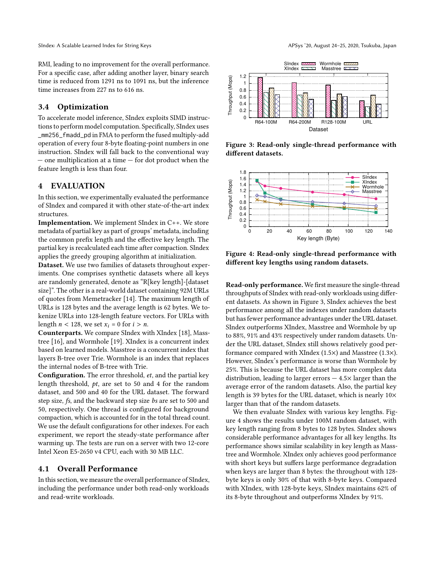RMI, leading to no improvement for the overall performance. For a specific case, after adding another layer, binary search time is reduced from 1291 ns to 1091 ns, but the inference time increases from 227 ns to 616 ns.

### 3.4 Optimization

To accelerate model inference, SIndex exploits SIMD instructions to perform model computation. Specifically, SIndex uses \_mm256\_fmadd\_pd in FMA to perform the fused multiply-add operation of every four 8-byte floating-point numbers in one instruction. SIndex will fall back to the conventional way — one multiplication at a time — for dot product when the feature length is less than four.

#### 4 EVALUATION

In this section, we experimentally evaluated the performance of SIndex and compared it with other state-of-the-art index structures.

Implementation. We implement SIndex in C++. We store metadata of partial key as part of groups' metadata, including the common prefix length and the effective key length. The partial key is recalculated each time after compaction. SIndex applies the greedy grouping algorithm at initialization.

Dataset. We use two families of datasets throughout experiments. One comprises synthetic datasets where all keys are randomly generated, denote as "R[key length]-[dataset size]". The other is a real-world dataset containing 92M URLs of quotes from Memetracker [\[14\]](#page-7-11). The maximum length of URLs is 128 bytes and the average length is 62 bytes. We tokenize URLs into 128-length feature vectors. For URLs with length  $n < 128$ , we set  $x_i = 0$  for  $i > n$ .

Counterparts. We compare SIndex with XIndex [\[18\]](#page-7-6), Masstree [\[16\]](#page-7-10), and Wormhole [\[19\]](#page-7-12). XIndex is a concurrent index based on learned models. Masstree is a concurrent index that layers B-tree over Trie. Wormhole is an index that replaces the internal nodes of B-tree with Trie.

Configuration. The error threshold, et, and the partial key length threshold, pt, are set to 50 and 4 for the random dataset, and 500 and 40 for the URL dataset. The forward step size, fs, and the backward step size bs are set to 500 and 50, respectively. One thread is configured for background compaction, which is accounted for in the total thread count. We use the default configurations for other indexes. For each experiment, we report the steady-state performance after warming up. The tests are run on a server with two 12-core Intel Xeon E5-2650 v4 CPU, each with 30 MB LLC.

## 4.1 Overall Performance

In this section, we measure the overall performance of SIndex, including the performance under both read-only workloads and read-write workloads.

<span id="page-4-0"></span>

Figure 3: Read-only single-thread performance with different datasets.

<span id="page-4-1"></span>

Figure 4: Read-only single-thread performance with different key lengths using random datasets.

Read-only performance. We first measure the single-thread throughputs of SIndex with read-only workloads using different datasets. As shown in Figure [3,](#page-4-0) SIndex achieves the best performance among all the indexes under random datasets but has fewer performance advantages under the URL dataset. SIndex outperforms XIndex, Masstree and Wormhole by up to 88%, 91% and 43% respectively under random datasets. Under the URL dataset, SIndex still shows relatively good performance compared with XIndex (1.5×) and Masstree (1.3×). However, SIndex's performance is worse than Wormhole by 25%. This is because the URL dataset has more complex data distribution, leading to larger errors  $-4.5\times$  larger than the average error of the random datasets. Also, the partial key length is 39 bytes for the URL dataset, which is nearly 10× larger than that of the random datasets.

We then evaluate SIndex with various key lengths. Figure [4](#page-4-1) shows the results under 100M random dataset, with key length ranging from 8 bytes to 128 bytes. SIndex shows considerable performance advantages for all key lengths. Its performance shows similar scalability in key length as Masstree and Wormhole. XIndex only achieves good performance with short keys but suffers large performance degradation when keys are larger than 8 bytes: the throughout with 128 byte keys is only 30% of that with 8-byte keys. Compared with XIndex, with 128-byte keys, SIndex maintains 62% of its 8-byte throughout and outperforms XIndex by 91%.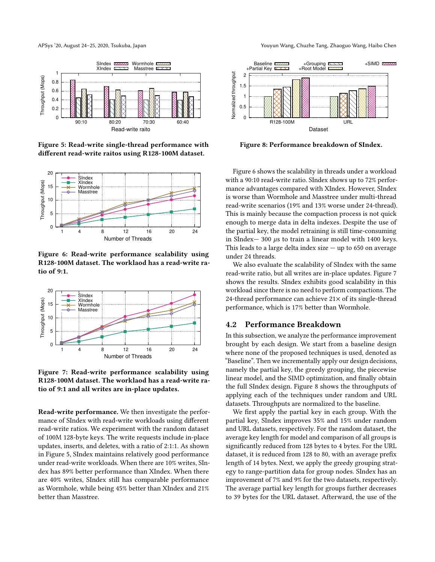<span id="page-5-0"></span>

Figure 5: Read-write single-thread performance with different read-write raitos using R128-100M dataset.

<span id="page-5-1"></span>

Figure 6: Read-write performance scalability using R128-100M dataset. The worklaod has a read-write ratio of 9:1.

<span id="page-5-2"></span>

Figure 7: Read-write performance scalability using R128-100M dataset. The worklaod has a read-write ratio of 9:1 and all writes are in-place updates.

Read-write performance. We then investigate the performance of SIndex with read-write workloads using different read-write ratios. We experiment with the random dataset of 100M 128-byte keys. The write requests include in-place updates, inserts, and deletes, with a ratio of 2:1:1. As shown in Figure [5,](#page-5-0) SIndex maintains relatively good performance under read-write workloads. When there are 10% writes, SIndex has 89% better performance than XIndex. When there are 40% writes, SIndex still has comparable performance as Wormhole, while being 45% better than XIndex and 21% better than Masstree.

APSys '20, August 24–25, 2020, Tsukuba, Japan Youyun Wang, Chuzhe Tang, Zhaoguo Wang, Haibo Chen

<span id="page-5-3"></span>

Figure 8: Performance breakdown of SIndex.

Figure [6](#page-5-1) shows the scalability in threads under a workload with a 90:10 read-write ratio. SIndex shows up to 72% performance advantages compared with XIndex. However, SIndex is worse than Wormhole and Masstree under multi-thread read-write scenarios (19% and 13% worse under 24-thread). This is mainly because the compaction process is not quick enough to merge data in delta indexes. Despite the use of the partial key, the model retraining is still time-consuming in SIndex— 300  $\mu$ s to train a linear model with 1400 keys. This leads to a large delta index size  $-$  up to 650 on average under 24 threads.

We also evaluate the scalability of SIndex with the same read-write ratio, but all writes are in-place updates. Figure [7](#page-5-2) shows the results. SIndex exhibits good scalability in this workload since there is no need to perform compactions. The 24-thread performance can achieve 21× of its single-thread performance, which is 17% better than Wormhole.

#### 4.2 Performance Breakdown

In this subsection, we analyze the performance improvement brought by each design. We start from a baseline design where none of the proposed techniques is used, denoted as "Baseline". Then we incrementally apply our design decisions, namely the partial key, the greedy grouping, the piecewise linear model, and the SIMD optimization, and finally obtain the full SIndex design. Figure [8](#page-5-3) shows the throughputs of applying each of the techniques under random and URL datasets. Throughputs are normalized to the baseline.

We first apply the partial key in each group. With the partial key, SIndex improves 35% and 15% under random and URL datasets, respectively. For the random dataset, the average key length for model and comparison of all groups is significantly reduced from 128 bytes to 4 bytes. For the URL dataset, it is reduced from 128 to 80, with an average prefix length of 14 bytes. Next, we apply the greedy grouping strategy to range-partition data for group nodes. SIndex has an improvement of 7% and 9% for the two datasets, respectively. The average partial key length for groups further decreases to 39 bytes for the URL dataset. Afterward, the use of the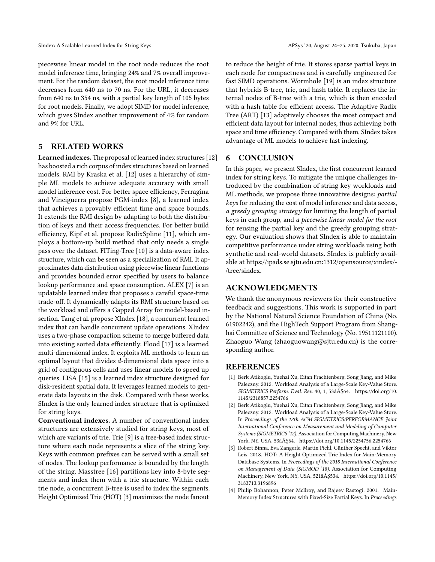piecewise linear model in the root node reduces the root model inference time, bringing 24% and 7% overall improvement. For the random dataset, the root model inference time decreases from 640 ns to 70 ns. For the URL, it decreases from 640 ns to 354 ns, with a partial key length of 105 bytes for root models. Finally, we adopt SIMD for model inference, which gives SIndex another improvement of 4% for random and 9% for URL.

#### 5 RELATED WORKS

Learned indexes. The proposal of learned index structures [\[12\]](#page-7-1) has boosted a rich corpus of index structures based on learned models. RMI by Kraska et al. [\[12\]](#page-7-1) uses a hierarchy of simple ML models to achieve adequate accuracy with small model inference cost. For better space efficiency, Ferragina and Vinciguerra propose PGM-index [\[8\]](#page-7-13), a learned index that achieves a provably efficient time and space bounds. It extends the RMI design by adapting to both the distribution of keys and their access frequencies. For better build efficiency, Kipf et al. propose RadixSpline [\[11\]](#page-7-14), which employs a bottom-up build method that only needs a single pass over the dataset. FITing-Tree [\[10\]](#page-7-3) is a data-aware index structure, which can be seen as a specialization of RMI. It approximates data distribution using piecewise linear functions and provides bounded error specified by users to balance lookup performance and space consumption. ALEX [\[7\]](#page-7-2) is an updatable learned index that proposes a careful space-time trade-off. It dynamically adapts its RMI structure based on the workload and offers a Gapped Array for model-based insertion. Tang et al. propose XIndex [\[18\]](#page-7-6), a concurrent learned index that can handle concurrent update operations. XIndex uses a two-phase compaction scheme to merge buffered data into existing sorted data efficiently. Flood [\[17\]](#page-7-5) is a learned multi-dimensional index. It exploits ML methods to learn an optimal layout that divides d-dimensional data space into a grid of contiguous cells and uses linear models to speed up queries. LISA [\[15\]](#page-7-4) is a learned index structure designed for disk-resident spatial data. It leverages learned models to generate data layouts in the disk. Compared with these works, SIndex is the only learned index structure that is optimized for string keys.

Conventional indexes. A number of conventional index structures are extensively studied for string keys, most of which are variants of trie. Trie [\[9\]](#page-7-15) is a tree-based index structure where each node represents a slice of the string key. Keys with common prefixes can be served with a small set of nodes. The lookup performance is bounded by the length of the string. Masstree [\[16\]](#page-7-10) partitions key into 8-byte segments and index them with a trie structure. Within each trie node, a concurrent B-tree is used to index the segments. Height Optimized Trie (HOT) [\[3\]](#page-6-2) maximizes the node fanout

to reduce the height of trie. It stores sparse partial keys in each node for compactness and is carefully engineered for fast SIMD operations. Wormhole [\[19\]](#page-7-12) is an index structure that hybrids B-tree, trie, and hash table. It replaces the internal nodes of B-tree with a trie, which is then encoded with a hash table for efficient access. The Adaptive Radix Tree (ART) [\[13\]](#page-7-9) adaptively chooses the most compact and efficient data layout for internal nodes, thus achieving both space and time efficiency. Compared with them, SIndex takes advantage of ML models to achieve fast indexing.

### 6 CONCLUSION

In this paper, we present SIndex, the first concurrent learned index for string keys. To mitigate the unique challenges introduced by the combination of string key workloads and ML methods, we propose three innovative designs: partial keys for reducing the cost of model inference and data access, a greedy grouping strategy for limiting the length of partial keys in each group, and a piecewise linear model for the root for reusing the partial key and the greedy grouping strategy. Our evaluation shows that SIndex is able to maintain competitive performance under string workloads using both synthetic and real-world datasets. SIndex is publicly available at [https://ipads.se.sjtu.edu.cn:1312/opensource/xindex/-](https://ipads.se.sjtu.edu.cn:1312/opensource/xindex/-/tree/sindex) [/tree/sindex.](https://ipads.se.sjtu.edu.cn:1312/opensource/xindex/-/tree/sindex)

#### ACKNOWLEDGMENTS

We thank the anonymous reviewers for their constructive feedback and suggestions. This work is supported in part by the National Natural Science Foundation of China (No. 61902242), and the HighTech Support Program from Shanghai Committee of Science and Technology (No. 19511121100). Zhaoguo Wang [\(zhaoguowang@sjtu.edu.cn\)](mailto:zhaoguowang@sjtu.edu.cn) is the corresponding author.

### REFERENCES

- <span id="page-6-0"></span>[1] Berk Atikoglu, Yuehai Xu, Eitan Frachtenberg, Song Jiang, and Mike Paleczny. 2012. Workload Analysis of a Large-Scale Key-Value Store. SIGMETRICS Perform. Eval. Rev. 40, 1, 53âĂŞ64. [https://doi.org/10.](https://doi.org/10.1145/2318857.2254766) [1145/2318857.2254766](https://doi.org/10.1145/2318857.2254766)
- <span id="page-6-1"></span>[2] Berk Atikoglu, Yuehai Xu, Eitan Frachtenberg, Song Jiang, and Mike Paleczny. 2012. Workload Analysis of a Large-Scale Key-Value Store. In Proceedings of the 12th ACM SIGMETRICS/PERFORMANCE Joint International Conference on Measurement and Modeling of Computer Systems (SIGMETRICS '12). Association for Computing Machinery, New York, NY, USA, 53âĂŞ64.<https://doi.org/10.1145/2254756.2254766>
- <span id="page-6-2"></span>[3] Robert Binna, Eva Zangerle, Martin Pichl, Günther Specht, and Viktor Leis. 2018. HOT: A Height Optimized Trie Index for Main-Memory Database Systems. In Proceedings of the 2018 International Conference on Management of Data (SIGMOD '18). Association for Computing Machinery, New York, NY, USA, 521âĂŞ534. [https://doi.org/10.1145/](https://doi.org/10.1145/3183713.3196896) [3183713.3196896](https://doi.org/10.1145/3183713.3196896)
- [4] Philip Bohannon, Peter Mcllroy, and Rajeev Rastogi. 2001. Main-Memory Index Structures with Fixed-Size Partial Keys. In Proceedings